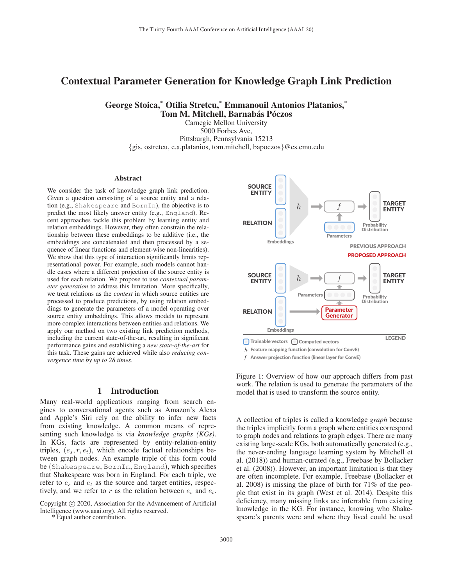# Contextual Parameter Generation for Knowledge Graph Link Prediction

George Stoica,\* Otilia Stretcu,\* Emmanouil Antonios Platanios,\* Tom M. Mitchell, Barnabás Póczos

> Carnegie Mellon University 5000 Forbes Ave, Pittsburgh, Pennsylvania 15213 {gis, ostretcu, e.a.platanios, tom.mitchell, bapoczos}@cs.cmu.edu

#### Abstract

We consider the task of knowledge graph link prediction. Given a question consisting of a source entity and a relation (e.g., Shakespeare and BornIn), the objective is to predict the most likely answer entity (e.g., England). Recent approaches tackle this problem by learning entity and relation embeddings. However, they often constrain the relationship between these embeddings to be additive (i.e., the embeddings are concatenated and then processed by a sequence of linear functions and element-wise non-linearities). We show that this type of interaction significantly limits representational power. For example, such models cannot handle cases where a different projection of the source entity is used for each relation. We propose to use *contextual parameter generation* to address this limitation. More specifically, we treat relations as the *context* in which source entities are processed to produce predictions, by using relation embeddings to generate the parameters of a model operating over source entity embeddings. This allows models to represent more complex interactions between entities and relations. We apply our method on two existing link prediction methods, including the current state-of-the-art, resulting in significant performance gains and establishing a *new state-of-the-art* for this task. These gains are achieved while also *reducing convergence time by up to 28 times*.

# 1 Introduction

Many real-world applications ranging from search engines to conversational agents such as Amazon's Alexa and Apple's Siri rely on the ability to infer new facts from existing knowledge. A common means of representing such knowledge is via *knowledge graphs (KGs)*. In KGs, facts are represented by entity-relation-entity triples,  $(e_s, r, e_t)$ , which encode factual relationships between graph nodes. An example triple of this form could be (Shakespeare, BornIn, England), which specifies that Shakespeare was born in England. For each triple, we refer to  $e_s$  and  $e_t$  as the source and target entities, respectively, and we refer to r as the relation between  $e_s$  and  $e_t$ .



 $f$  Answer projection function (linear layer for ConvE)

Figure 1: Overview of how our approach differs from past work. The relation is used to generate the parameters of the model that is used to transform the source entity.

A collection of triples is called a knowledge *graph* because the triples implicitly form a graph where entities correspond to graph nodes and relations to graph edges. There are many existing large-scale KGs, both automatically generated (e.g., the never-ending language learning system by Mitchell et al. (2018)) and human-curated (e.g., Freebase by Bollacker et al. (2008)). However, an important limitation is that they are often incomplete. For example, Freebase (Bollacker et al. 2008) is missing the place of birth for 71% of the people that exist in its graph (West et al. 2014). Despite this deficiency, many missing links are inferrable from existing knowledge in the KG. For instance, knowing who Shakespeare's parents were and where they lived could be used

Copyright  $\odot$  2020, Association for the Advancement of Artificial Intelligence (www.aaai.org). All rights reserved.

<sup>\*</sup> Equal author contribution.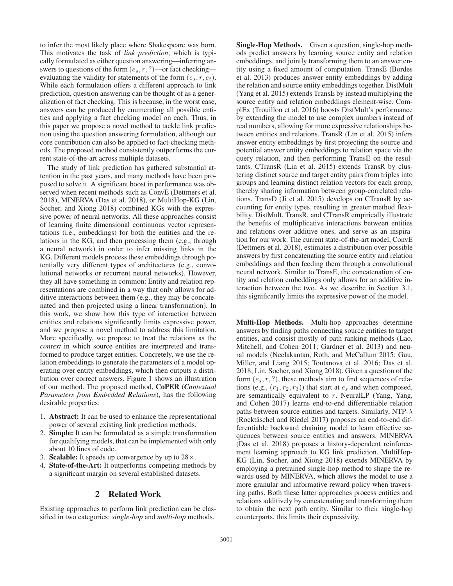to infer the most likely place where Shakespeare was born. This motivates the task of *link prediction*, which is typically formulated as either question answering—inferring answers to questions of the form  $(e_s, r, ?)$ —or fact checking evaluating the validity for statements of the form  $(e_s, r, e_t)$ . While each formulation offers a different approach to link prediction, question answering can be thought of as a generalization of fact checking. This is because, in the worst case, answers can be produced by enumerating all possible entities and applying a fact checking model on each. Thus, in this paper we propose a novel method to tackle link prediction using the question answering formulation, although our core contribution can also be applied to fact-checking methods. The proposed method consistently outperforms the current state-of-the-art across multiple datasets.

The study of link prediction has gathered substantial attention in the past years, and many methods have been proposed to solve it. A significant boost in performance was observed when recent methods such as ConvE (Dettmers et al. 2018), MINERVA (Das et al. 2018), or MultiHop-KG (Lin, Socher, and Xiong 2018) combined KGs with the expressive power of neural networks. All these approaches consist of learning finite dimensional continuous vector representations (i.e., embeddings) for both the entities and the relations in the KG, and then processing them (e.g., through a neural network) in order to infer missing links in the KG. Different models process these embeddings through potentially very different types of architectures (e.g., convolutional networks or recurrent neural networks). However, they all have something in common: Entity and relation representations are combined in a way that only allows for additive interactions between them (e.g., they may be concatenated and then projected using a linear transformation). In this work, we show how this type of interaction between entities and relations significantly limits expressive power, and we propose a novel method to address this limitation. More specifically, we propose to treat the relations as the *context* in which source entities are interpreted and transformed to produce target entities. Concretely, we use the relation embeddings to generate the parameters of a model operating over entity embeddings, which then outputs a distribution over correct answers. Figure 1 shows an illustration of our method. The proposed method, CoPER (*Contextual Parameters from Embedded Relations*), has the following desirable properties:

- 1. Abstract: It can be used to enhance the representational power of several existing link prediction methods.
- 2. Simple: It can be formulated as a simple transformation for qualifying models, that can be implemented with only about 10 lines of code.
- 3. **Scalable:** It speeds up convergence by up to  $28 \times$ .
- 4. State-of-the-Art: It outperforms competing methods by a significant margin on several established datasets.

# 2 Related Work

Existing approaches to perform link prediction can be classified in two categories: *single-hop* and *multi-hop* methods.

Single-Hop Methods. Given a question, single-hop methods predict answers by learning source entity and relation embeddings, and jointly transforming them to an answer entity using a fixed amount of computation. TransE (Bordes et al. 2013) produces answer entity embeddings by adding the relation and source entity embeddings together. DistMult (Yang et al. 2015) extends TransE by instead multiplying the source entity and relation embeddings element-wise. ComplEx (Trouillon et al. 2016) boosts DistMult's performance by extending the model to use complex numbers instead of real numbers, allowing for more expressive relationships between entities and relations. TransR (Lin et al. 2015) infers answer entity embeddings by first projecting the source and potential answer entity embeddings to relation space via the query relation, and then performing TransE on the resultants. CTransR (Lin et al. 2015) extends TransR by clustering distinct source and target entity pairs from triples into groups and learning distinct relation vectors for each group, thereby sharing information between group-correlated relations. TransD (Ji et al. 2015) develops on CTransR by accounting for entity types, resulting in greater method flexibility. DistMult, TransR, and CTransR empirically illustrate the benefits of multiplicative interactions between entities and relations over additive ones, and serve as an inspiration for our work. The current state-of-the-art model, ConvE (Dettmers et al. 2018), estimates a distribution over possible answers by first concatenating the source entity and relation embeddings and then feeding them through a convolutional neural network. Similar to TransE, the concatenation of entity and relation embeddings only allows for an additive interaction between the two. As we describe in Section 3.1, this significantly limits the expressive power of the model.

Multi-Hop Methods. Multi-hop approaches determine answers by finding paths connecting source entities to target entities, and consist mostly of path ranking methods (Lao, Mitchell, and Cohen 2011; Gardner et al. 2013) and neural models (Neelakantan, Roth, and McCallum 2015; Guu, Miller, and Liang 2015; Toutanova et al. 2016; Das et al. 2018; Lin, Socher, and Xiong 2018). Given a question of the form  $(e_s, r, ?)$ , these methods aim to find sequences of relations (e.g.,  $(r_1, r_2, r_3)$ ) that start at  $e_s$  and when composed, are semantically equivalent to r. NeuralLP (Yang, Yang, and Cohen 2017) learns end-to-end differentiable relation paths between source entities and targets. Similarly, NTP- $\lambda$ (Rocktäschel and Riedel 2017) proposes an end-to-end differentiable backward chaining model to learn effective sequences between source entities and answers. MINERVA (Das et al. 2018) proposes a history-dependent reinforcement learning approach to KG link prediction. MultiHop-KG (Lin, Socher, and Xiong 2018) extends MINERVA by employing a pretrained single-hop method to shape the rewards used by MINERVA, which allows the model to use a more granular and informative reward policy when traversing paths. Both these latter approaches process entities and relations additively by concatenating and transforming them to obtain the next path entity. Similar to their single-hop counterparts, this limits their expressivity.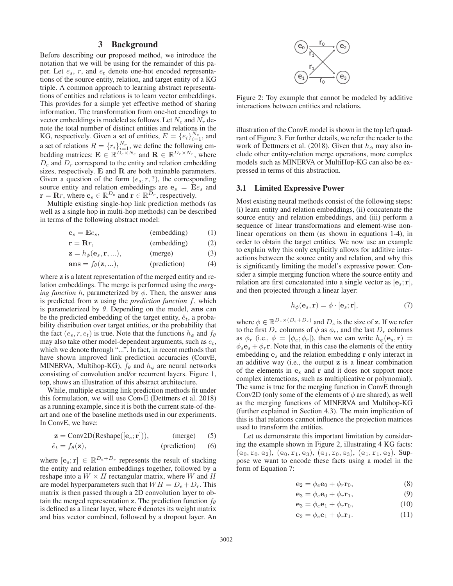# 3 Background

Before describing our proposed method, we introduce the notation that we will be using for the remainder of this paper. Let  $e_s$ , r, and  $e_t$  denote one-hot encoded representations of the source entity, relation, and target entity of a KG triple. A common approach to learning abstract representations of entities and relations is to learn vector embeddings. This provides for a simple yet effective method of sharing information. The transformation from one-hot encodings to vector embeddings is modeled as follows. Let  $N_e$  and  $N_r$  denote the total number of distinct entities and relations in the KG, respectively. Given a set of entities,  $E = \{e_i\}_{i=1}^{N_e}$ , and a set of relations  $R = \{r_i\}_{i=1}^{N_r}$ , we define the following embedding matrices:  $\mathbf{E} \in \mathbb{R}^{\overline{D}_e \times N_e}$  and  $\mathbf{R} \in \mathbb{R}^{\overline{D}_r \times N_r}$ , where  $D_e$  and  $D_r$  correspond to the entity and relation embedding sizes, respectively. **E** and **R** are both trainable parameters. Given a question of the form  $(e_s, r, ?)$ , the corresponding source entity and relation embeddings are  $\mathbf{e}_s = \mathbf{E}e_s$  and **r** = **R***r*, where  $\mathbf{e}_s \in \mathbb{R}^{D_e}$  and  $\mathbf{r} \in \mathbb{R}^{D_r}$ , respectively.

Multiple existing single-hop link prediction methods (as well as a single hop in multi-hop methods) can be described in terms of the following abstract model:

$$
\mathbf{e}_s = \mathbf{E} e_s, \qquad \qquad \text{(embedding)} \qquad (1)
$$

$$
\mathbf{r} = \mathbf{R}r, \qquad \qquad \text{(embedding)} \qquad (2)
$$

$$
\mathbf{z} = h_{\phi}(\mathbf{e}_s, \mathbf{r}, \ldots), \quad (\text{merge}) \tag{3}
$$

$$
ans = f_{\theta}(\mathbf{z}, \ldots), \qquad \text{(prediction)} \tag{4}
$$

where **z** is a latent representation of the merged entity and relation embeddings. The merge is performed using the *merging function h*, parameterized by  $\phi$ . Then, the answer ans is predicted from **z** using the *prediction function* f, which is parameterized by  $\theta$ . Depending on the model, ans can be the predicted embedding of the target entity,  $\hat{e}_t$ , a probability distribution over target entities, or the probability that the fact  $(e_s, r, e_t)$  is true. Note that the functions  $h_{\phi}$  and  $f_{\theta}$ may also take other model-dependent arguments, such as  $e_t$ , which we denote through "...". In fact, in recent methods that have shown improved link prediction accuracies (ConvE, MINERVA, Multihop-KG),  $f_{\theta}$  and  $h_{\phi}$  are neural networks consisting of convolution and/or recurrent layers. Figure 1, top, shows an illustration of this abstract architecture.

While, multiple existing link prediction methods fit under this formulation, we will use ConvE (Dettmers et al. 2018) as a running example, since it is both the current state-of-theart and one of the baseline methods used in our experiments. In ConvE, we have:

$$
z = Conv2D(Reshape([e_s; r])), \qquad (merge) \qquad (5)
$$

$$
\hat{e}_t = f_\theta(\mathbf{z}), \qquad \text{(prediction)} \tag{6}
$$

where  $[\mathbf{e}_s; \mathbf{r}] \in \mathbb{R}^{D_e + D_r}$  represents the result of stacking the entity and relation embeddings together, followed by a reshape into a  $W \times H$  rectangular matrix, where W and H are model hyperparameters such that  $WH = D_e + D_r$ . This matrix is then passed through a 2D convolution layer to obtain the merged representation **z**. The prediction function  $f_{\theta}$ is defined as a linear layer, where  $\theta$  denotes its weight matrix and bias vector combined, followed by a dropout layer. An



Figure 2: Toy example that cannot be modeled by additive interactions between entities and relations.

illustration of the ConvE model is shown in the top left quadrant of Figure 3. For further details, we refer the reader to the work of Dettmers et al. (2018). Given that  $h_{\phi}$  may also include other entity-relation merge operations, more complex models such as MINERVA or MultiHop-KG can also be expressed in terms of this abstraction.

#### 3.1 Limited Expressive Power

Most existing neural methods consist of the following steps: (i) learn entity and relation embeddings, (ii) concatenate the source entity and relation embeddings, and (iii) perform a sequence of linear transformations and element-wise nonlinear operations on them (as shown in equations 1-4), in order to obtain the target entities. We now use an example to explain why this only explicitly allows for additive interactions between the source entity and relation, and why this is significantly limiting the model's expressive power. Consider a simple merging function where the source entity and relation are first concatenated into a single vector as  $|\mathbf{e}_s; \mathbf{r}|$ , and then projected through a linear layer:

$$
h_{\phi}(\mathbf{e}_s, \mathbf{r}) = \phi \cdot [\mathbf{e}_s; \mathbf{r}], \tag{7}
$$

where  $\phi \in \mathbb{R}^{D_z \times (D_e + D_r)}$  and  $D_z$  is the size of **z**. If we refer to the first  $D_e$  columns of  $\phi$  as  $\phi_e$ , and the last  $D_r$  columns as  $\phi_r$  (i.e.,  $\phi = [\phi_e; \phi_r]$ ), then we can write  $h_\phi(\mathbf{e}_s, \mathbf{r})$  =  $\phi_s \mathbf{e}_s + \phi_r \mathbf{r}$ . Note that, in this case the elements of the entity embedding **e**<sup>s</sup> and the relation embedding **r** only interact in an additive way (i.e., the output **z** is a linear combination of the elements in **e**<sup>s</sup> and **r** and it does not support more complex interactions, such as multiplicative or polynomial). The same is true for the merging function in ConvE through Conv2D (only some of the elements of  $\phi$  are shared), as well as the merging functions of MINERVA and Multihop-KG (further explained in Section 4.3). The main implication of this is that relations cannot influence the projection matrices used to transform the entities.

Let us demonstrate this important limitation by considering the example shown in Figure 2, illustrating 4 KG facts:  $(e_0, r_0, e_2)$ ,  $(e_0, r_1, e_3)$ ,  $(e_1, r_0, e_3)$ ,  $(e_1, r_1, e_2)$ . Suppose we want to encode these facts using a model in the form of Equation 7:

$$
\mathbf{e}_2 = \phi_e \mathbf{e}_0 + \phi_r \mathbf{r}_0,\tag{8}
$$

$$
\mathbf{e}_3 = \phi_e \mathbf{e}_0 + \phi_r \mathbf{r}_1,\tag{9}
$$

$$
\mathbf{e}_3 = \phi_e \mathbf{e}_1 + \phi_r \mathbf{r}_0, \tag{10}
$$

$$
\mathbf{e}_2 = \phi_e \mathbf{e}_1 + \phi_r \mathbf{r}_1. \tag{11}
$$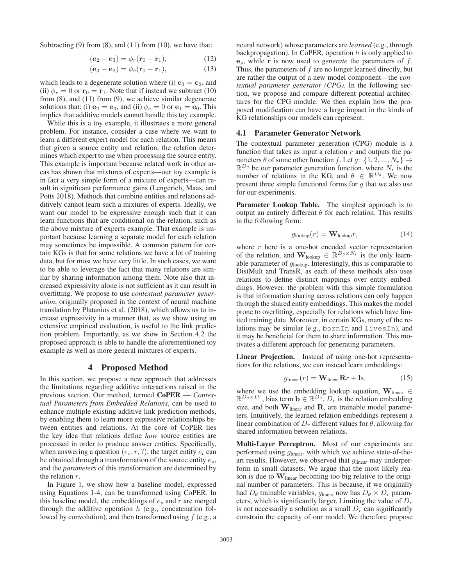Subtracting (9) from (8), and (11) from (10), we have that:

$$
(\mathbf{e}_2 - \mathbf{e}_3) = \phi_r(\mathbf{r}_0 - \mathbf{r}_1), \tag{12}
$$

$$
(\mathbf{e}_3 - \mathbf{e}_2) = \phi_r(\mathbf{r}_0 - \mathbf{r}_1), \tag{13}
$$

which leads to a degenerate solution where (i)  $\mathbf{e}_3 = \mathbf{e}_2$ , and (ii)  $\phi_r = 0$  or  $\mathbf{r}_0 = \mathbf{r}_1$ . Note that if instead we subtract (10) from (8), and (11) from (9), we achieve similar degenerate solutions that: (i)  $\mathbf{e}_2 = \mathbf{e}_3$ , and (ii)  $\phi_e = 0$  or  $\mathbf{e}_1 = \mathbf{e}_0$ . This implies that additive models cannot handle this toy example.

While this is a toy example, it illustrates a more general problem. For instance, consider a case where we want to learn a different expert model for each relation. This means that given a source entity and relation, the relation determines which expert to use when processing the source entity. This example is important because related work in other areas has shown that mixtures of experts—our toy example is in fact a very simple form of a mixture of experts—can result in significant performance gains (Lengerich, Maas, and Potts 2018). Methods that combine entities and relations additively cannot learn such a mixtures of experts. Ideally, we want our model to be expressive enough such that it can learn functions that are conditional on the relation, such as the above mixture of experts example. That example is important because learning a separate model for each relation may sometimes be impossible. A common pattern for certain KGs is that for some relations we have a lot of training data, but for most we have very little. In such cases, we want to be able to leverage the fact that many relations are similar by sharing information among them. Note also that increased expressivity alone is not sufficient as it can result in overfitting. We propose to use *contextual parameter generation*, originally proposed in the context of neural machine translation by Platanios et al. (2018), which allows us to increase expressivity in a manner that, as we show using an extensive empirical evaluation, is useful to the link prediction problem. Importantly, as we show in Section 4.2 the proposed approach is able to handle the aforementioned toy example as well as more general mixtures of experts.

# 4 Proposed Method

In this section, we propose a new approach that addresses the limitations regarding additive interactions raised in the previous section. Our method, termed CoPER — *Contextual Parameters from Embedded Relations*, can be used to enhance multiple existing additive link prediction methods, by enabling them to learn more expressive relationships between entities and relations. At the core of CoPER lies the key idea that relations define *how* source entities are processed in order to produce answer entities. Specifically, when answering a question  $(e_s, r, ?)$ , the target entity  $e_t$  can be obtained through a transformation of the source entity  $e_s$ , and the *parameters* of this transformation are determined by the relation r.

In Figure 1, we show how a baseline model, expressed using Equations 1-4, can be transformed using CoPER. In this baseline model, the embeddings of  $e_s$  and  $r$  are merged through the additive operation  $h$  (e.g., concatenation followed by convolution), and then transformed using  $f$  (e.g., a

neural network) whose parameters are *learned* (e.g., through backpropagation). In CoPER, operation  $h$  is only applied to **e**s, while **r** is now used to *generate* the parameters of f. Thus, the parameters of  $f$  are no longer learned directly, but are rather the output of a new model component—the *contextual parameter generator (CPG)*. In the following section, we propose and compare different potential architectures for the CPG module. We then explain how the proposed modification can have a large impact in the kinds of KG relationships our models can represent.

## 4.1 Parameter Generator Network

The contextual parameter generation (CPG) module is a function that takes as input a relation  $r$  and outputs the parameters  $\theta$  of some other function f. Let  $q: \{1, 2, ..., N_r\} \rightarrow$  $\mathbb{R}^{D_{\theta}}$  be our parameter generation function, where  $N_r$  is the number of relations in the KG, and  $\theta \in \mathbb{R}^{D_{\theta}}$ . We now present three simple functional forms for  $q$  that we also use for our experiments.

Parameter Lookup Table. The simplest approach is to output an entirely different  $\theta$  for each relation. This results in the following form:

$$
g_{\text{lookup}}(r) = \mathbf{W}_{\text{lookup}}r,\tag{14}
$$

where  $r$  here is a one-hot encoded vector representation of the relation, and  $\mathbf{W}_{\text{lookup}} \in \mathbb{R}^{D_{\theta} \times N_r}$  is the only learnable parameter of glookup. Interestingly, this is comparable to DistMult and TransR, as each of these methods also uses relations to define distinct mappings over entity embeddings. However, the problem with this simple formulation is that information sharing across relations can only happen through the shared entity embeddings. This makes the model prone to overfitting, especially for relations which have limited training data. Moreover, in certain KGs, many of the relations may be similar (e.g., bornIn and livesIn), and it may be beneficial for them to share information. This motivates a different approach for generating parameters.

Linear Projection. Instead of using one-hot representations for the relations, we can instead learn embeddings:

$$
g_{\text{linear}}(r) = \mathbf{W}_{\text{linear}} \mathbf{R} r + \mathbf{b}, \qquad (15)
$$

where we use the embedding lookup equation,  $W_{linear} \in$  $\mathbb{R}^{D_{\theta} \times D_r}$ , bias term  $\mathbf{b} \in \mathbb{R}^{D_{\theta}}$ ,  $D_r$  is the relation embedding size, and both **W**linear and **R**, are trainable model parameters. Intuitively, the learned relation embeddings represent a linear combination of  $D_r$  different values for  $\theta$ , allowing for shared information between relations.

Multi-Layer Perceptron. Most of our experiments are performed using glinear, with which we achieve state-of-theart results. However, we observed that  $g_{linear}$  may underperform in small datasets. We argue that the most likely reason is due to **W**linear becoming too big relative to the original number of parameters. This is because, if we originally had  $D_{\theta}$  trainable variables,  $g_{\text{linear}}$  now has  $D_{\theta} \times D_{r}$  parameters, which is significantly larger. Limiting the value of  $D<sub>r</sub>$ is not necessarily a solution as a small  $D<sub>r</sub>$  can significantly constrain the capacity of our model. We therefore propose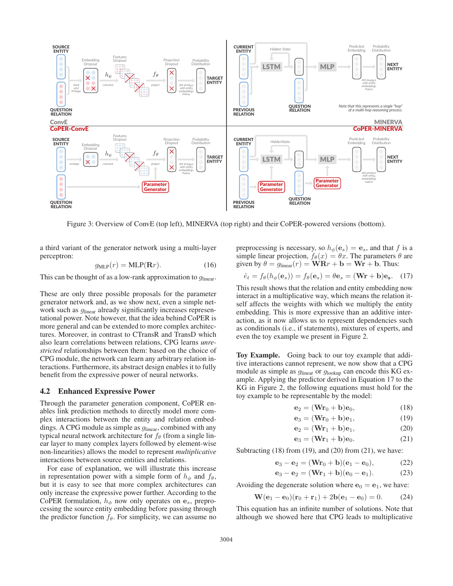

Figure 3: Overview of ConvE (top left), MINERVA (top right) and their CoPER-powered versions (bottom).

a third variant of the generator network using a multi-layer perceptron:

$$
g_{\text{MLP}}(r) = \text{MLP}(\mathbf{R}r). \tag{16}
$$

This can be thought of as a low-rank approximation to  $q_{\text{linear}}$ .

These are only three possible proposals for the parameter generator network and, as we show next, even a simple network such as  $q_{\text{linear}}$  already significantly increases representational power. Note however, that the idea behind CoPER is more general and can be extended to more complex architectures. Moreover, in contrast to CTransR and TransD which also learn correlations between relations, CPG learns *unrestricted* relationships between them: based on the choice of CPG module, the network can learn any arbitrary relation interactions. Furthermore, its abstract design enables it to fully benefit from the expressive power of neural networks.

#### 4.2 Enhanced Expressive Power

Through the parameter generation component, CoPER enables link prediction methods to directly model more complex interactions between the entity and relation embeddings. A CPG module as simple as  $g_{\text{linear}}$ , combined with any typical neural network architecture for  $f_\theta$  (from a single linear layer to many complex layers followed by element-wise non-linearities) allows the model to represent *multiplicative* interactions between source entities and relations.

For ease of explanation, we will illustrate this increase in representation power with a simple form of  $h_{\phi}$  and  $f_{\theta}$ , but it is easy to see that more complex architectures can only increase the expressive power further. According to the CoPER formulation,  $h_{\phi}$  now only operates on  $\mathbf{e}_s$ , preprocessing the source entity embedding before passing through the predictor function  $f_{\theta}$ . For simplicity, we can assume no preprocessing is necessary, so  $h_{\phi}(\mathbf{e}_s) = \mathbf{e}_s$ , and that f is a simple linear projection,  $f_{\theta}(x) = \theta x$ . The parameters  $\theta$  are given by  $\theta = g_{\text{linear}}(r) = \mathbf{W} \mathbf{R} r + \mathbf{b} = \mathbf{W} \mathbf{r} + \mathbf{b}$ . Thus:

$$
\hat{e}_t = f_\theta(h_\phi(\mathbf{e}_s)) = f_\theta(\mathbf{e}_s) = \theta \mathbf{e}_s = (\mathbf{W}\mathbf{r} + \mathbf{b})\mathbf{e}_s. \quad (17)
$$

This result shows that the relation and entity embedding now interact in a multiplicative way, which means the relation itself affects the weights with which we multiply the entity embedding. This is more expressive than an additive interaction, as it now allows us to represent dependencies such as conditionals (i.e., if statements), mixtures of experts, and even the toy example we present in Figure 2.

Toy Example. Going back to our toy example that additive interactions cannot represent, we now show that a CPG module as simple as  $g_{\text{linear}}$  or  $g_{\text{lookup}}$  can encode this KG example. Applying the predictor derived in Equation 17 to the KG in Figure 2, the following equations must hold for the toy example to be representable by the model:

$$
\mathbf{e}_2 = (\mathbf{W}\mathbf{r}_0 + \mathbf{b})\mathbf{e}_0,\tag{18}
$$

$$
\mathbf{e}_3 = (\mathbf{W}\mathbf{r}_0 + \mathbf{b})\mathbf{e}_1, \tag{19}
$$

$$
\mathbf{e}_2 = (\mathbf{Wr}_1 + \mathbf{b})\mathbf{e}_1, \tag{20}
$$

$$
\mathbf{e}_3 = (\mathbf{W}\mathbf{r}_1 + \mathbf{b})\mathbf{e}_0. \tag{21}
$$

Subtracting  $(18)$  from  $(19)$ , and  $(20)$  from  $(21)$ , we have:

$$
\mathbf{e}_3 - \mathbf{e}_2 = (\mathbf{Wr}_0 + \mathbf{b})(\mathbf{e}_1 - \mathbf{e}_0), \tag{22}
$$

$$
\mathbf{e}_3 - \mathbf{e}_2 = (\mathbf{Wr}_1 + \mathbf{b})(\mathbf{e}_0 - \mathbf{e}_1). \tag{23}
$$

Avoiding the degenerate solution where  $\mathbf{e}_0 = \mathbf{e}_1$ , we have:

$$
\mathbf{W}(\mathbf{e}_1 - \mathbf{e}_0)(\mathbf{r}_0 + \mathbf{r}_1) + 2\mathbf{b}(\mathbf{e}_1 - \mathbf{e}_0) = 0. \tag{24}
$$

This equation has an infinite number of solutions. Note that although we showed here that CPG leads to multiplicative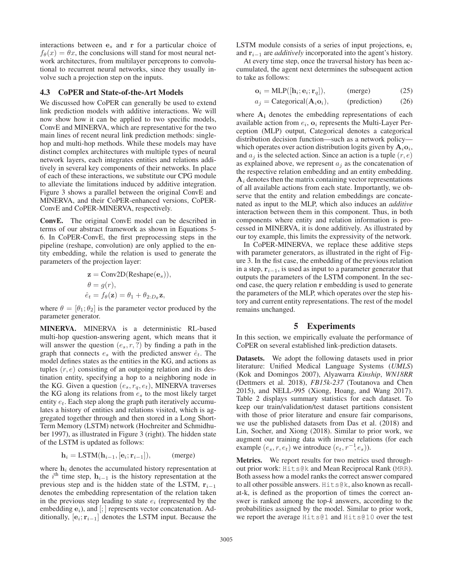interactions between **e**<sup>s</sup> and **r** for a particular choice of  $f_{\theta}(x) = \theta x$ , the conclusions will stand for most neural network architectures, from multilayer perceprons to convolutional to recurrent neural networks, since they usually involve such a projection step on the inputs.

# 4.3 CoPER and State-of-the-Art Models

We discussed how CoPER can generally be used to extend link prediction models with additive interactions. We will now show how it can be applied to two specific models, ConvE and MINERVA, which are representative for the two main lines of recent neural link prediction methods: singlehop and multi-hop methods. While these models may have distinct complex architectures with multiple types of neural network layers, each integrates entities and relations additively in several key components of their networks. In place of each of these interactions, we substitute our CPG module to alleviate the limitations induced by additive integration. Figure 3 shows a parallel between the original ConvE and MINERVA, and their CoPER-enhanced versions, CoPER-ConvE and CoPER-MINERVA, respectively.

ConvE. The original ConvE model can be described in terms of our abstract framework as shown in Equations 5- 6. In CoPER-ConvE, the first preprocessing steps in the pipeline (reshape, convolution) are only applied to the entity embedding, while the relation is used to generate the parameters of the projection layer:

$$
\mathbf{z} = \text{Conv2D}(\text{Reshape}(\mathbf{e}_s)),
$$
  
\n
$$
\theta = g(r),
$$
  
\n
$$
\hat{e}_t = f_\theta(\mathbf{z}) = \theta_1 + \theta_{2:D_\theta}\mathbf{z},
$$

where  $\theta = [\theta_1; \theta_2]$  is the parameter vector produced by the parameter generator.

MINERVA. MINERVA is a deterministic RL-based multi-hop question-answering agent, which means that it will answer the question  $(e_s, r, ?)$  by finding a path in the graph that connects  $e_s$  with the predicted answer  $\hat{e}_t$ . The model defines states as the entities in the KG, and actions as tuples  $(r, e)$  consisting of an outgoing relation and its destination entity, specifying a hop to a neighboring node in the KG. Given a question  $(e_s, r_q, e_t)$ , MINERVA traverses the KG along its relations from  $e_s$  to the most likely target entity  $e_t$ . Each step along the graph path iteratively accumulates a history of entities and relations visited, which is aggregated together through and then stored in a Long Short-Term Memory (LSTM) network (Hochreiter and Schmidhuber 1997), as illustrated in Figure 3 (right). The hidden state of the LSTM is updated as follows:

$$
\mathbf{h}_i = \text{LSTM}(\mathbf{h}_{i-1}, [\mathbf{e}_i; \mathbf{r}_{i-1}]), \quad (\text{merge})
$$

where  $h_i$  denotes the accumulated history representation at the i<sup>th</sup> time step,  $\mathbf{h}_{i-1}$  is the history representation at the previous step and is the hidden state of the LSTM,  $\mathbf{r}_{i-1}$ denotes the embedding representation of the relation taken in the previous step leading to state  $e_i$  (represented by the embedding  $e_i$ ), and [; ] represents vector concatenation. Additionally,  $[\mathbf{e}_i; \mathbf{r}_{i-1}]$  denotes the LSTM input. Because the

LSTM module consists of a series of input projections, **e**<sup>i</sup> and **r**i−<sup>1</sup> are *additively* incorporated into the agent's history.

At every time step, once the traversal history has been accumulated, the agent next determines the subsequent action to take as follows:

$$
\mathbf{o}_i = \text{MLP}([\mathbf{h}_i; \mathbf{e}_i; \mathbf{r}_q]), \quad (\text{merge}) \tag{25}
$$

$$
a_j = \text{Categorical}(\mathbf{A}_i \mathbf{o}_i), \quad \text{(prediction)} \tag{26}
$$

where **A<sup>i</sup>** denotes the embedding representations of each available action from  $e_i$ ,  $\mathbf{o}_i$  represents the Multi-Layer Perception (MLP) output, Categorical denotes a categorical distribution decision function—such as a network policy which operates over action distribution logits given by  $A_i o_i$ , and  $a_i$  is the selected action. Since an action is a tuple  $(r, e)$ as explained above, we represent  $a_i$  as the concatenation of the respective relation embedding and an entity embedding.  $A_i$  denotes then the matrix containing vector representations of all available actions from each state. Importantly, we observe that the entity and relation embeddings are concatenated as input to the MLP, which also induces an *additive* interaction between them in this component. Thus, in both components where entity and relation information is processed in MINERVA, it is done additively. As illustrated by our toy example, this limits the expressivity of the network.

In CoPER-MINERVA, we replace these additive steps with parameter generators, as illustrated in the right of Figure 3. In the fist case, the embedding of the previous relation in a step,  $\mathbf{r}_{i-1}$ , is used as input to a parameter generator that outputs the parameters of the LSTM component. In the second case, the query relation **r** embedding is used to generate the parameters of the MLP, which operates over the step history and current entity representations. The rest of the model remains unchanged.

# 5 Experiments

In this section, we empirically evaluate the performance of CoPER on several established link-prediction datasets.

Datasets. We adopt the following datasets used in prior literature: Unified Medical Language Systems (*UMLS*) (Kok and Domingos 2007), Alyawarra *Kinship*, *WN18RR* (Dettmers et al. 2018), *FB15k-237* (Toutanova and Chen 2015), and NELL-995 (Xiong, Hoang, and Wang 2017). Table 2 displays summary statistics for each dataset. To keep our train/validation/test dataset partitions consistent with those of prior literature and ensure fair comparisons, we use the published datasets from Das et al. (2018) and Lin, Socher, and Xiong (2018). Similar to prior work, we augment our training data with inverse relations (for each example  $(e_s, r, e_t)$  we introduce  $(e_t, r^{-1}, e_s)$ ).

Metrics. We report results for two metrics used throughout prior work: Hits@k and Mean Reciprocal Rank (MRR). Both assess how a model ranks the correct answer compared to all other possible answers. Hits@k, also known as recallat-k, is defined as the proportion of times the correct answer is ranked among the top-*k* answers, according to the probabilities assigned by the model. Similar to prior work, we report the average Hits@1 and Hits@10 over the test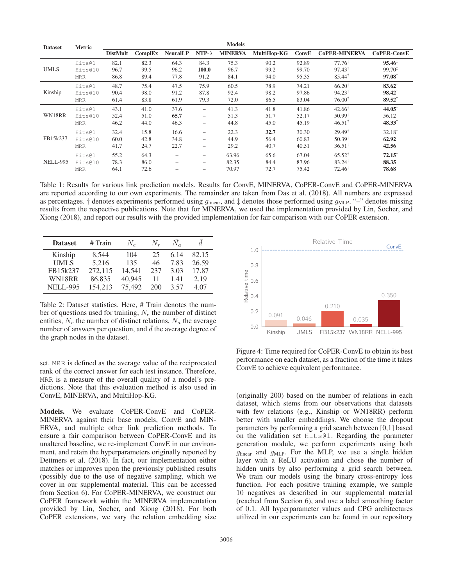| <b>Dataset</b>  | <b>Metric</b> |                 |         |                          |                          | <b>Models</b>  |             |       |                      |                    |
|-----------------|---------------|-----------------|---------|--------------------------|--------------------------|----------------|-------------|-------|----------------------|--------------------|
|                 |               | <b>DistMult</b> | ComplEx | <b>NeuralLP</b>          | NTP- $\lambda$           | <b>MINERVA</b> | MultiHop-KG | ConvE | <b>CoPER-MINERVA</b> | <b>CoPER-ConvE</b> |
| <b>UMLS</b>     | Hits@1        | 82.1            | 82.3    | 64.3                     | 84.3                     | 75.3           | 90.2        | 92.89 | $77.76^{\dagger}$    | $95.46^{\ddagger}$ |
|                 | Hits@10       | 96.7            | 99.5    | 96.2                     | 100.0                    | 96.7           | 99.2        | 99.70 | $97.43^{\dagger}$    | $99.70^{\ddagger}$ |
|                 | <b>MRR</b>    | 86.8            | 89.4    | 77.8                     | 91.2                     | 84.1           | 94.0        | 95.35 | $85.44^{\dagger}$    | $97.08^{\ddagger}$ |
| Kinship         | Hits@1        | 48.7            | 75.4    | 47.5                     | 75.9                     | 60.5           | 78.9        | 74.21 | $66.20^{\dagger}$    | $83.62^{\dagger}$  |
|                 | Hits@10       | 90.4            | 98.0    | 91.2                     | 87.8                     | 92.4           | 98.2        | 97.86 | $94.23^{\dagger}$    | $98.42^{\dagger}$  |
|                 | <b>MRR</b>    | 61.4            | 83.8    | 61.9                     | 79.3                     | 72.0           | 86.5        | 83.04 | $76.00^{\dagger}$    | $89.52^{\dagger}$  |
| WN18RR          | Hits@1        | 43.1            | 41.0    | 37.6                     | $\overline{\phantom{0}}$ | 41.3           | 41.8        | 41.86 | $42.66^{\dagger}$    | $44.05^{\dagger}$  |
|                 | Hits@10       | 52.4            | 51.0    | 65.7                     | -                        | 51.3           | 51.7        | 52.17 | $50.99^{\dagger}$    | $56.12^{\dagger}$  |
|                 | <b>MRR</b>    | 46.2            | 44.0    | 46.3                     | $\qquad \qquad -$        | 44.8           | 45.0        | 45.19 | $46.51^{\dagger}$    | $48.33^{\dagger}$  |
| FB15k237        | Hits@1        | 32.4            | 15.8    | 16.6                     |                          | 22.3           | 32.7        | 30.30 | $29.49^{\dagger}$    | $32.18^{\dagger}$  |
|                 | Hits@10       | 60.0            | 42.8    | 34.8                     | -                        | 44.9           | 56.4        | 60.83 | $50.39^{\dagger}$    | $62.92^{\dagger}$  |
|                 | <b>MRR</b>    | 41.7            | 24.7    | 22.7                     | -                        | 29.2           | 40.7        | 40.51 | $36.51^{\dagger}$    | $42.56^{\dagger}$  |
| <b>NELL-995</b> | Hits@1        | 55.2            | 64.3    |                          | $\overline{\phantom{0}}$ | 63.96          | 65.6        | 67.04 | $65.52^{\dagger}$    | $72.15^{\dagger}$  |
|                 | Hits@10       | 78.3            | 86.0    | $\overline{\phantom{0}}$ | $\overline{\phantom{0}}$ | 82.35          | 84.4        | 87.96 | $83.24^{\dagger}$    | $88.35^{\dagger}$  |
|                 | <b>MRR</b>    | 64.1            | 72.6    |                          | -                        | 70.97          | 72.7        | 75.42 | $72.46^{\dagger}$    | $78.68^{\dagger}$  |

Table 1: Results for various link prediction models. Results for ConvE, MINERVA, CoPER-ConvE and CoPER-MINERVA are reported according to our own experiments. The remainder are taken from Das et al. (2018). All numbers are expressed as percentages. † denotes experiments performed using  $g_{\text{linear}}$ , and  $\ddagger$  denotes those performed using  $g_{MLP}$ . "–" denotes missing results from the respective publications. Note that for MINERVA, we used the implementation provided by Lin, Socher, and Xiong (2018), and report our results with the provided implementation for fair comparison with our CoPER extension.

| <b>Dataset</b>  | $#$ Train | $N_{\rm e}$ | $N_r$ | $N_a$ | d.    |
|-----------------|-----------|-------------|-------|-------|-------|
| Kinship         | 8.544     | 104         | 25    | 6.14  | 82.15 |
| <b>UMLS</b>     | 5,216     | 135         | 46    | 7.83  | 26.59 |
| FB15k237        | 272,115   | 14.541      | 237   | 3.03  | 17.87 |
| WN18RR          | 86,835    | 40,945      | 11    | 1.41  | 2.19  |
| <b>NELL-995</b> | 154,213   | 75,492      | 200   | 3.57  | 4.07  |

Table 2: Dataset statistics. Here, # Train denotes the number of questions used for training,  $N_e$  the number of distinct entities,  $N_r$  the number of distinct relations,  $\overline{N}_a$  the average number of answers per question, and  $\bar{d}$  the average degree of the graph nodes in the dataset.

set. MRR is defined as the average value of the reciprocated rank of the correct answer for each test instance. Therefore, MRR is a measure of the overall quality of a model's predictions. Note that this evaluation method is also used in ConvE, MINERVA, and MultiHop-KG.

Models. We evaluate CoPER-ConvE and CoPER-MINERVA against their base models, ConvE and MIN-ERVA, and multiple other link prediction methods. To ensure a fair comparison between CoPER-ConvE and its unaltered baseline, we re-implement ConvE in our environment, and retain the hyperparameters originally reported by Dettmers et al. (2018). In fact, our implementation either matches or improves upon the previously published results (possibly due to the use of negative sampling, which we cover in our supplemental material. This can be accessed from Section 6). For CoPER-MINERVA, we construct our CoPER framework within the MINERVA implementation provided by Lin, Socher, and Xiong (2018). For both CoPER extensions, we vary the relation embedding size



Figure 4: Time required for CoPER-ConvE to obtain its best performance on each dataset, as a fraction of the time it takes ConvE to achieve equivalent performance.

(originally 200) based on the number of relations in each dataset, which stems from our observations that datasets with few relations (e.g., Kinship or WN18RR) perform better with smaller embeddings. We choose the dropout parameters by performing a grid search between [0,1] based on the validation set Hits@1. Regarding the parameter generation module, we perform experiments using both  $g_{\text{linear}}$  and  $g_{\text{MLP}}$ . For the MLP, we use a single hidden layer with a ReLU activation and chose the number of hidden units by also performing a grid search between. We train our models using the binary cross-entropy loss function. For each positive training example, we sample 10 negatives as described in our supplemental material (reached from Section 6), and use a label smoothing factor of 0.1. All hyperparameter values and CPG architectures utilized in our experiments can be found in our repository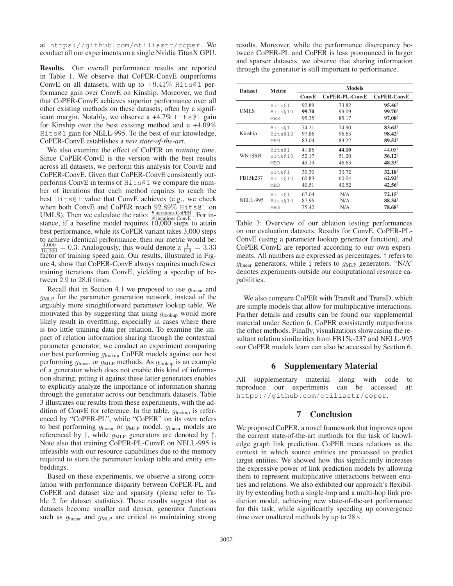at https://github.com/otiliastr/coper. We conduct all our experiments on a single Nvidia TitanX GPU.

Results. Our overall performance results are reported in Table 1. We observe that CoPER-ConvE outperforms ConvE on all datasets, with up to  $+9.41\%$  Hits@1 performance gain over ConvE on Kinship. Moreover, we find that CoPER-ConvE achieves superior performance over all other existing methods on these datasets, often by a significant margin. Notably, we observe a +4.7% Hits@1 gain for Kinship over the best existing method and a +4.09% Hits@1 gain for NELL-995. To the best of our knowledge, CoPER-ConvE establishes a *new state-of-the-art*.

We also examine the effect of CoPER on *training time*. Since CoPER-ConvE is the version with the best results across all datasets, we perform this analysis for ConvE and CoPER-ConvE. Given that CoPER-ConvE consistently outperforms ConvE in terms of Hits@1 we compare the number of iterations that each method requires to reach the best Hits@1 value that ConvE achieves (e.g., we check when both ConvE and CoPER reach 92.89% Hits@1 on UMLS). Then we calculate the ratio:  $\frac{\text{\# iterations CoPER}}{\text{\# iterations Conv}}$ . For instance, if a baseline model requires 10,000 steps to attain best performance, while its CoPER variant takes 3,000 steps to achieve identical performance, then our metric would be:  $\frac{3,000}{10,000} = 0.3$ . Analogously, this would denote a  $\frac{1}{0.3} = 3.33$ factor of training speed gain. Our results, illustrated in Figure 4, show that CoPER-ConvE always requires much fewer training iterations than ConvE, yielding a speedup of between 2.9 to 28.6 times.

Recall that in Section 4.1 we proposed to use  $g_{\text{linear}}$  and  $g<sub>MLP</sub>$  for the parameter generation network, instead of the arguably more straightforward parameter lookup table. We motivated this by suggesting that using  $g_{\text{lookup}}$  would more likely result in overfitting, especially in cases where there is too little training data per relation. To examine the impact of relation information sharing through the contextual parameter generator, we conduct an experiment comparing our best performing glookup CoPER models against our best performing  $g_{linear}$  or  $g_{MLP}$  methods. As  $g_{lookup}$  is an example of a generator which does not enable this kind of information sharing, pitting it against these latter generators enables to explicitly analyze the importance of information sharing through the generator across our benchmark datasets. Table 3 illustrates our results from these experiments, with the addition of ConvE for reference. In the table,  $g_{\text{lookup}}$  is referenced by "CoPER-PL", while "CoPER" on its own refers to best performing  $g_{linear}$  or  $g_{MLP}$  model.  $g_{linear}$  models are referenced by  $\dagger$ , while  $g_{MLP}$  generators are denoted by  $\dagger$ . Note also that training CoPER-PL-ConvE on NELL-995 is infeasible with our resource capabilities due to the memory required to store the parameter lookup table and entity embeddings.

Based on these experiments, we observe a strong correlation with performance disparity between CoPER-PL and CoPER and dataset size and sparsity (please refer to Table 2 for dataset statistics). These results suggest that as datasets become smaller and denser, generator functions such as  $g_{\text{linear}}$  and  $g_{\text{MLP}}$  are critical to maintaining strong

results. Moreover, while the performance discrepancy between CoPER-PL and CoPER is less pronounced in larger and sparser datasets, we observe that sharing information through the generator is still important to performance.

| <b>Dataset</b>  | <b>Metric</b> | <b>Models</b> |                |                    |  |  |
|-----------------|---------------|---------------|----------------|--------------------|--|--|
|                 |               | ConvE         | CoPER-PL-ConvE | <b>CoPER-ConvE</b> |  |  |
|                 | Hits@1        | 92.89         | 73.82          | $95.46^{\dagger}$  |  |  |
| <b>UMLS</b>     | Hits@10       | 99.70         | 99.09          | $99.70^{\ddagger}$ |  |  |
|                 | <b>MRR</b>    | 95.35         | 85.17          | $97.08^{\ddagger}$ |  |  |
|                 | Hits@1        | 74.21         | 74.90          | $83.62^{\dagger}$  |  |  |
| Kinship         | Hits@10       | 97.86         | 96.63          | $98.42^{\dagger}$  |  |  |
|                 | <b>MRR</b>    | 83.04         | 83.22          | $89.52^{\dagger}$  |  |  |
|                 | Hits@1        | 41.86         | 44.10          | $44.05^{\dagger}$  |  |  |
| WN18RR          | Hits@10       | 52.17         | 51.20          | $56.12^+$          |  |  |
|                 | <b>MRR</b>    | 45.19         | 46.63          | $48.33^{\dagger}$  |  |  |
|                 | Hits@1        | 30.30         | 30.72          | $32.18^{\dagger}$  |  |  |
| FB15k237        | Hits@10       | 60.83         | 60.04          | $62.92^{\dagger}$  |  |  |
|                 | <b>MRR</b>    | 40.51         | 40.52          | $42.56^{\dagger}$  |  |  |
|                 | Hits@1        | 67.04         | N/A            | $72.15^+$          |  |  |
| <b>NELL-995</b> | Hits@10       | 87.96         | N/A            | $88.34^{\dagger}$  |  |  |
|                 | <b>MRR</b>    | 75.42         | N/A            | $78.68^{\dagger}$  |  |  |

Table 3: Overview of our ablation testing performances on our evaluation datasets. Results for ConvE, CoPER-PL-ConvE (using a parameter lookup generator function), and CoPER-ConvE are reported according to our own experiments. All numbers are expressed as percentages. † refers to  $g_{\text{linear}}$  generators, while  $\ddagger$  refers to  $g_{\text{MLP}}$  generators. "N/A" denotes experiments outside our computational resource capabilities.

We also compare CoPER with TransR and TransD, which are simple models that allow for multiplicative interactions. Further details and results can be found our supplemental material under Section 6. CoPER consistently outperforms the other methods. Finally, visualizations showcasing the resultant relation similarities from FB15k-237 and NELL-995 our CoPER models learn can also be accessed by Section 6.

# 6 Supplementary Material

All supplementary material along with code to reproduce our experiments can be accessed at: https://github.com/otiliastr/coper.

# 7 Conclusion

We proposed CoPER, a novel framework that improves upon the current state-of-the-art methods for the task of knowledge graph link prediction. CoPER treats relations as the context in which source entities are processed to predict target entities. We showed how this significantly increases the expressive power of link prediction models by allowing them to represent multiplicative interactions between entities and relations. We also exhibited our approach's flexibility by extending both a single-hop and a multi-hop link prediction model, achieving new state-of-the-art performance for this task, while significantly speeding up convergence time over unaltered methods by up to  $28\times$ .